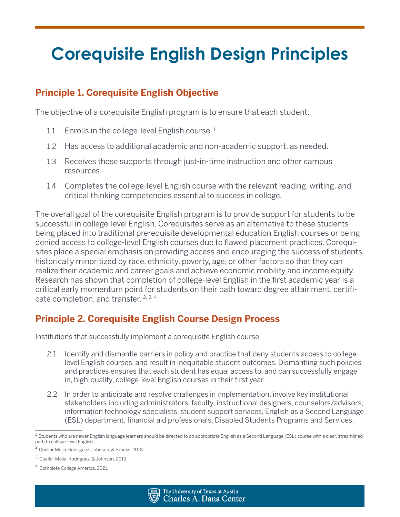# **Principle 1. Corequisite English Objective**

The objective of a corequisite English program is to ensure that each student:

- 1.1 Enrolls in the college-level English course.  $1$
- 1.2 Has access to additional academic and non-academic support, as needed.
- 1.3 Receives those supports through just-in-time instruction and other campus resources.
- 1.4 Completes the college-level English course with the relevant reading, writing, and critical thinking competencies essential to success in college.

The overall goal of the corequisite English program is to provide support for students to be successful in college-level English. Corequisites serve as an alternative to these students being placed into traditional prerequisite developmental education English courses or being denied access to college-level English courses due to flawed placement practices. Corequisites place a special emphasis on providing access and encouraging the success of students historically minoritized by race, ethnicity, poverty, age, or other factors so that they can realize their academic and career goals and achieve economic mobility and income equity. Research has shown that completion of college-level English in the first academic year is a critical early momentum point for students on their path toward degree attainment, certificate completion, and transfer. 2, 3, <sup>4</sup>

# **Principle 2. Corequisite English Course Design Process**

Institutions that successfully implement a corequisite English course:

- 2.1 Identify and dismantle barriers in policy and practice that deny students access to collegelevel English courses, and result in inequitable student outcomes. Dismantling such policies and practices ensures that each student has equal access to, and can successfully engage in, high-quality, college-level English courses in their first year.
- 2.2 In order to anticipate and resolve challenges in implementation, involve key institutional stakeholders including administrators, faculty, instructional designers, counselors/advisors, information technology specialists, student support services, English as a Second Language (ESL) department, financial aid professionals, Disabled Students Programs and Services,



 $1$  Students who are newer English language learners should be directed to an appropriate English as a Second Language (ESL) course with a clear, streamlined path to college-level English.

<sup>2</sup> Cuellar Mejia, Rodriguez, Johnson, & Brooks, 2018.

<sup>3</sup> Cuellar Mejia, Rodriguez, & Johnson, 2019.

<sup>4</sup> Complete College America, 2021.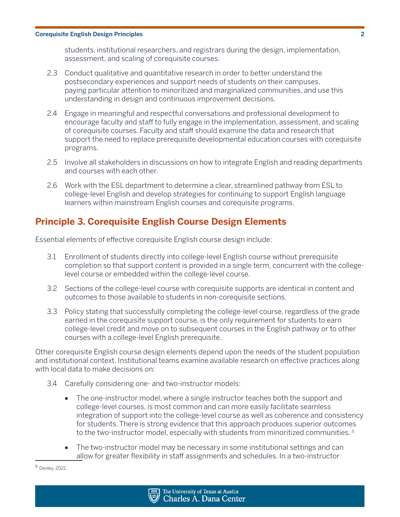students, institutional researchers, and registrars during the design, implementation, assessment, and scaling of corequisite courses.

- 2.3 Conduct qualitative and quantitative research in order to better understand the postsecondary experiences and support needs of students on their campuses, paying particular attention to minoritized and marginalized communities, and use this understanding in design and continuous improvement decisions.
- 2.4 Engage in meaningful and respectful conversations and professional development to encourage faculty and staff to fully engage in the implementation, assessment, and scaling of corequisite courses. Faculty and staff should examine the data and research that support the need to replace prerequisite developmental education courses with corequisite programs.
- 2.5 Involve all stakeholders in discussions on how to integrate English and reading departments and courses with each other.
- 2.6 Work with the ESL department to determine a clear, streamlined pathway from ESL to college-level English and develop strategies for continuing to support English language learners within mainstream English courses and corequisite programs.

# **Principle 3. Corequisite English Course Design Elements**

Essential elements of effective corequisite English course design include:

- 3.1 Enrollment of students directly into college-level English course without prerequisite completion so that support content is provided in a single term, concurrent with the collegelevel course or embedded within the college-level course.
- 3.2 Sections of the college-level course with corequisite supports are identical in content and outcomes to those available to students in non-corequisite sections.
- 3.3 Policy stating that successfully completing the college-level course, regardless of the grade earned in the corequisite support course, is the only requirement for students to earn college-level credit and move on to subsequent courses in the English pathway or to other courses with a college-level English prerequisite.

Other corequisite English course design elements depend upon the needs of the student population and institutional context. Institutional teams examine available research on effective practices along with local data to make decisions on:

- 3.4 Carefully considering one- and two-instructor models:
	- The one-instructor model, where a single instructor teaches both the support and college-level courses, is most common and can more easily facilitate seamless integration of support into the college-level course as well as coherence and consistency for students. There is strong evidence that this approach produces superior outcomes to the two-instructor model, especially with students from minoritized communities. <sup>5</sup>
	- The two-instructor model may be necessary in some institutional settings and can allow for greater flexibility in staff assignments and schedules. In a two-instructor

<sup>5</sup> Denley, 2021.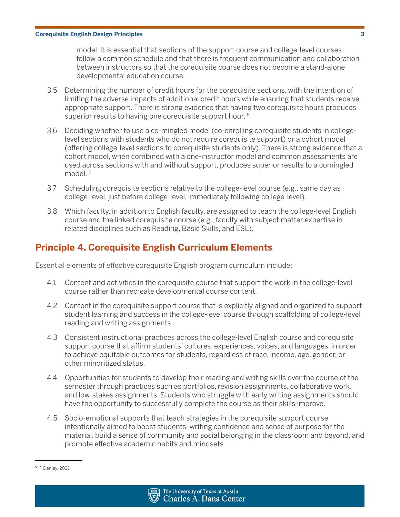model, it is essential that sections of the support course and college-level courses follow a common schedule and that there is frequent communication and collaboration between instructors so that the corequisite course does not become a stand-alone developmental education course.

- 3.5 Determining the number of credit hours for the corequisite sections, with the intention of limiting the adverse impacts of additional credit hours while ensuring that students receive appropriate support. There is strong evidence that having two corequisite hours produces superior results to having one corequisite support hour. <sup>6</sup>
- 3.6 Deciding whether to use a co-mingled model (co-enrolling corequisite students in collegelevel sections with students who do not require corequisite support) or a cohort model (offering college-level sections to corequisite students only). There is strong evidence that a cohort model, when combined with a one-instructor model and common assessments are used across sections with and without support, produces superior results to a comingled model<sup>7</sup>
- 3.7 Scheduling corequisite sections relative to the college-level course (e.g., same day as college-level, just before college-level, immediately following college-level).
- 3.8 Which faculty, in addition to English faculty, are assigned to teach the college-level English course and the linked corequisite course (e.g., faculty with subject matter expertise in related disciplines such as Reading, Basic Skills, and ESL).

# **Principle 4. Corequisite English Curriculum Elements**

Essential elements of effective corequisite English program curriculum include:

- 4.1 Content and activities in the corequisite course that support the work in the college-level course rather than recreate developmental course content.
- 4.2 Content in the corequisite support course that is explicitly aligned and organized to support student learning and success in the college-level course through scaffolding of college-level reading and writing assignments.
- 4.3 Consistent instructional practices across the college-level English course and corequisite support course that affirm students' cultures, experiences, voices, and languages, in order to achieve equitable outcomes for students, regardless of race, income, age, gender, or other minoritized status.
- 4.4 Opportunities for students to develop their reading and writing skills over the course of the semester through practices such as portfolios, revision assignments, collaborative work, and low-stakes assignments. Students who struggle with early writing assignments should have the opportunity to successfully complete the course as their skills improve.
- 4.5 Socio-emotional supports that teach strategies in the corequisite support course intentionally aimed to boost students' writing confidence and sense of purpose for the material, build a sense of community and social belonging in the classroom and beyond, and promote effective academic habits and mindsets.



<sup>6, 7</sup> Denley, 2021.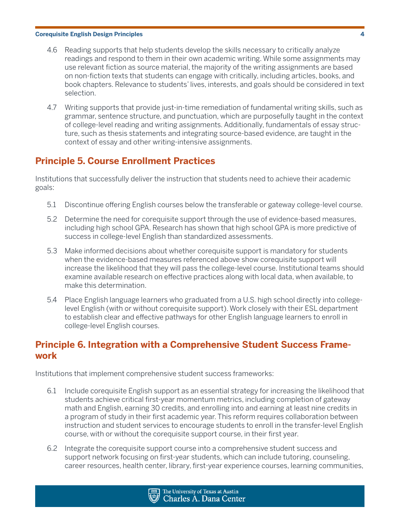- 4.6 Reading supports that help students develop the skills necessary to critically analyze readings and respond to them in their own academic writing. While some assignments may use relevant fiction as source material, the majority of the writing assignments are based on non-fiction texts that students can engage with critically, including articles, books, and book chapters. Relevance to students' lives, interests, and goals should be considered in text selection.
- 4.7 Writing supports that provide just-in-time remediation of fundamental writing skills, such as grammar, sentence structure, and punctuation, which are purposefully taught in the context of college-level reading and writing assignments. Additionally, fundamentals of essay structure, such as thesis statements and integrating source-based evidence, are taught in the context of essay and other writing-intensive assignments.

# **Principle 5. Course Enrollment Practices**

Institutions that successfully deliver the instruction that students need to achieve their academic goals:

- 5.1 Discontinue offering English courses below the transferable or gateway college-level course.
- 5.2 Determine the need for corequisite support through the use of evidence-based measures, including high school GPA. Research has shown that high school GPA is more predictive of success in college-level English than standardized assessments.
- 5.3 Make informed decisions about whether corequisite support is mandatory for students when the evidence-based measures referenced above show corequisite support will increase the likelihood that they will pass the college-level course. Institutional teams should examine available research on effective practices along with local data, when available, to make this determination.
- 5.4 Place English language learners who graduated from a U.S. high school directly into collegelevel English (with or without corequisite support). Work closely with their ESL department to establish clear and effective pathways for other English language learners to enroll in college-level English courses.

## **Principle 6. Integration with a Comprehensive Student Success Framework**

Institutions that implement comprehensive student success frameworks:

- 6.1 Include corequisite English support as an essential strategy for increasing the likelihood that students achieve critical first-year momentum metrics, including completion of gateway math and English, earning 30 credits, and enrolling into and earning at least nine credits in a program of study in their first academic year. This reform requires collaboration between instruction and student services to encourage students to enroll in the transfer-level English course, with or without the corequisite support course, in their first year.
- 6.2 Integrate the corequisite support course into a comprehensive student success and support network focusing on first-year students, which can include tutoring, counseling, career resources, health center, library, first-year experience courses, learning communities,

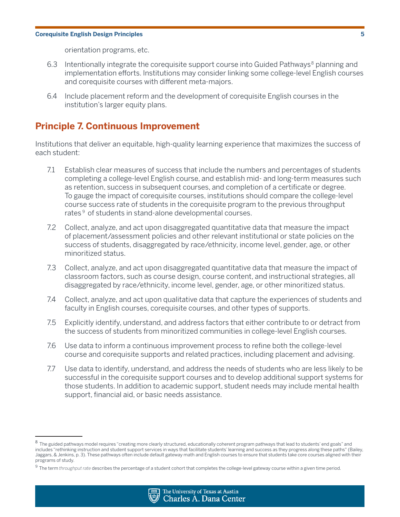orientation programs, etc.

- 6.3 Intentionally integrate the corequisite support course into Guided Pathways<sup>8</sup> planning and implementation efforts. Institutions may consider linking some college-level English courses and corequisite courses with different meta-majors.
- 6.4 Include placement reform and the development of corequisite English courses in the institution's larger equity plans.

## **Principle 7. Continuous Improvement**

Institutions that deliver an equitable, high-quality learning experience that maximizes the success of each student:

- 7.1 Establish clear measures of success that include the numbers and percentages of students completing a college-level English course, and establish mid- and long-term measures such as retention, success in subsequent courses, and completion of a certificate or degree. To gauge the impact of corequisite courses, institutions should compare the college-level course success rate of students in the corequisite program to the previous throughput rates<sup>9</sup> of students in stand-alone developmental courses.
- 7.2 Collect, analyze, and act upon disaggregated quantitative data that measure the impact of placement/assessment policies and other relevant institutional or state policies on the success of students, disaggregated by race/ethnicity, income level, gender, age, or other minoritized status.
- 7.3 Collect, analyze, and act upon disaggregated quantitative data that measure the impact of classroom factors, such as course design, course content, and instructional strategies, all disaggregated by race/ethnicity, income level, gender, age, or other minoritized status.
- 7.4 Collect, analyze, and act upon qualitative data that capture the experiences of students and faculty in English courses, corequisite courses, and other types of supports.
- 7.5 Explicitly identify, understand, and address factors that either contribute to or detract from the success of students from minoritized communities in college-level English courses.
- 7.6 Use data to inform a continuous improvement process to refine both the college-level course and corequisite supports and related practices, including placement and advising.
- 7.7 Use data to identify, understand, and address the needs of students who are less likely to be successful in the corequisite support courses and to develop additional support systems for those students. In addition to academic support, student needs may include mental health support, financial aid, or basic needs assistance.



<sup>8</sup> The guided pathways model requires "creating more clearly structured, educationally coherent program pathways that lead to students' end goals" and includes "rethinking instruction and student support services in ways that facilitate students' learning and success as they progress along these paths" (Bailey, Jaggars, & Jenkins, p. 3). These pathways often include default gateway math and English courses to ensure that students take core courses aligned with their programs of study.

<sup>9</sup> The term *throughput rate* describes the percentage of a student cohort that completes the college-level gateway course within a given time period.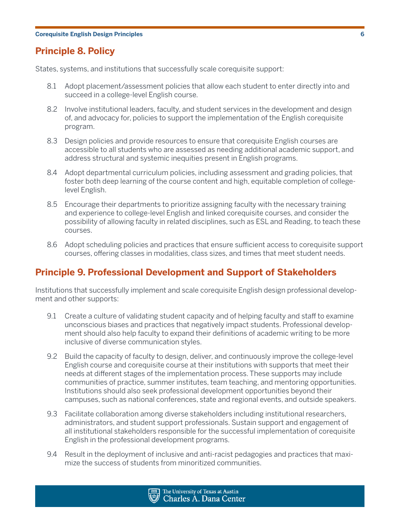# **Principle 8. Policy**

States, systems, and institutions that successfully scale corequisite support:

- 8.1 Adopt placement/assessment policies that allow each student to enter directly into and succeed in a college-level English course.
- 8.2 Involve institutional leaders, faculty, and student services in the development and design of, and advocacy for, policies to support the implementation of the English corequisite program.
- 8.3 Design policies and provide resources to ensure that corequisite English courses are accessible to all students who are assessed as needing additional academic support, and address structural and systemic inequities present in English programs.
- 8.4 Adopt departmental curriculum policies, including assessment and grading policies, that foster both deep learning of the course content and high, equitable completion of collegelevel English.
- 8.5 Encourage their departments to prioritize assigning faculty with the necessary training and experience to college-level English and linked corequisite courses, and consider the possibility of allowing faculty in related disciplines, such as ESL and Reading, to teach these courses.
- 8.6 Adopt scheduling policies and practices that ensure sufficient access to corequisite support courses, offering classes in modalities, class sizes, and times that meet student needs.

## **Principle 9. Professional Development and Support of Stakeholders**

Institutions that successfully implement and scale corequisite English design professional development and other supports:

- 9.1 Create a culture of validating student capacity and of helping faculty and staff to examine unconscious biases and practices that negatively impact students. Professional development should also help faculty to expand their definitions of academic writing to be more inclusive of diverse communication styles.
- 9.2 Build the capacity of faculty to design, deliver, and continuously improve the college-level English course and corequisite course at their institutions with supports that meet their needs at different stages of the implementation process. These supports may include communities of practice, summer institutes, team teaching, and mentoring opportunities. Institutions should also seek professional development opportunities beyond their campuses, such as national conferences, state and regional events, and outside speakers.
- 9.3 Facilitate collaboration among diverse stakeholders including institutional researchers, administrators, and student support professionals. Sustain support and engagement of all institutional stakeholders responsible for the successful implementation of corequisite English in the professional development programs.
- 9.4 Result in the deployment of inclusive and anti-racist pedagogies and practices that maximize the success of students from minoritized communities.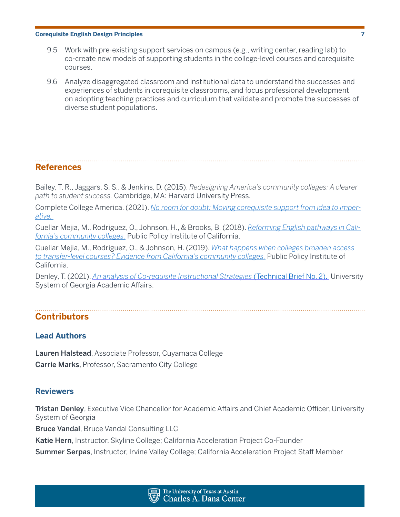- 9.5 Work with pre-existing support services on campus (e.g., writing center, reading lab) to co-create new models of supporting students in the college-level courses and corequisite courses.
- 9.6 Analyze disaggregated classroom and institutional data to understand the successes and experiences of students in corequisite classrooms, and focus professional development on adopting teaching practices and curriculum that validate and promote the successes of diverse student populations.

## **References**

Bailey, T. R., Jaggars, S. S., & Jenkins, D. (2015). *Redesigning America's community colleges: A clearer path to student success.* Cambridge, MA: Harvard University Press.

Complete College America. (2021). *[No room for doubt: Moving corequisite support from idea to imper](http://completecollege.org/noroomfordoubt)[ative.](http://completecollege.org/noroomfordoubt)*

Cuellar Mejia, M., Rodriguez, O., Johnson, H., & Brooks, B. (2018). *[Reforming English pathways in Cali](https://www.ppic.org/wp-content/uploads/r-0217mcr.pdf )[fornia's community colleges.](https://www.ppic.org/wp-content/uploads/r-0217mcr.pdf )* Public Policy Institute of California.

Cuellar Mejia, M., Rodriguez, O., & Johnson, H. (2019). *[What happens when colleges broaden access](https://www.ppic.org/wp-content/uploads/what-happens-when-colleges-broaden-access-to-transfer-level-courses-evidence-from-californias-community-colleges.pdf)  [to transfer-level courses? Evidence from California's community colleges.](https://www.ppic.org/wp-content/uploads/what-happens-when-colleges-broaden-access-to-transfer-level-courses-evidence-from-californias-community-colleges.pdf)* Public Policy Institute of California.

Denley, T. (2021). *[An analysis of Co-requisite Instructional Strategies](https://www.completegeorgia.org/analysis-co-requisite-instructional-strategies)* (Technical Brief No. 2). University System of Georgia Academic Affairs.

## **Contributors**

### **Lead Authors**

Lauren Halstead, Associate Professor, Cuyamaca College Carrie Marks, Professor, Sacramento City College

### **Reviewers**

Tristan Denley, Executive Vice Chancellor for Academic Affairs and Chief Academic Officer, University System of Georgia

Bruce Vandal, Bruce Vandal Consulting LLC

Katie Hern, Instructor, Skyline College; California Acceleration Project Co-Founder

Summer Serpas, Instructor, Irvine Valley College; California Acceleration Project Staff Member